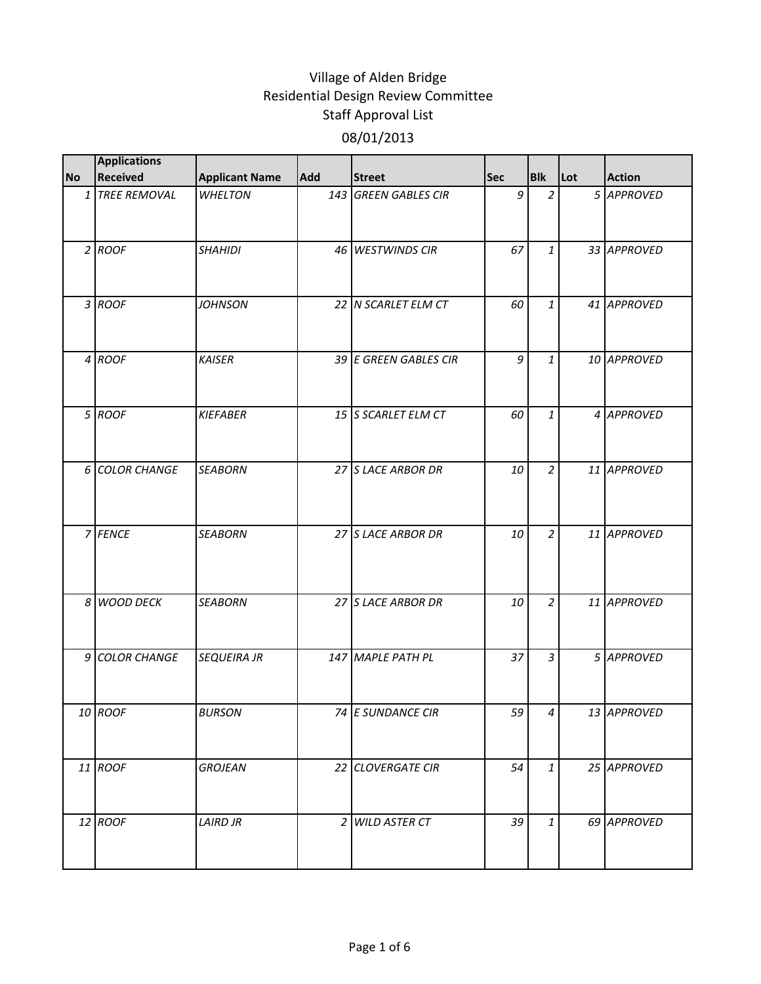|           | <b>Applications</b> |                       |            |                       |     |                |     |               |
|-----------|---------------------|-----------------------|------------|-----------------------|-----|----------------|-----|---------------|
| <b>No</b> | <b>Received</b>     | <b>Applicant Name</b> | <b>Add</b> | <b>Street</b>         | Sec | <b>Blk</b>     | Lot | <b>Action</b> |
|           | 1 TREE REMOVAL      | <b>WHELTON</b>        |            | 143 GREEN GABLES CIR  | 9   | $\overline{2}$ |     | 5 APPROVED    |
|           | $2$ ROOF            | <b>SHAHIDI</b>        |            | 46 WESTWINDS CIR      | 67  | $\mathbf{1}$   |     | 33 APPROVED   |
|           | 3 ROOF              | <b>JOHNSON</b>        |            | 22 N SCARLET ELM CT   | 60  | $\mathbf{1}$   |     | 41 APPROVED   |
|           | 4 ROOF              | <b>KAISER</b>         |            | 39 E GREEN GABLES CIR | 9   | 1              |     | 10 APPROVED   |
|           | 5 ROOF              | <b>KIEFABER</b>       |            | 15 S SCARLET ELM CT   | 60  | $\mathbf{1}$   |     | 4 APPROVED    |
|           | 6 COLOR CHANGE      | <b>SEABORN</b>        |            | 27 S LACE ARBOR DR    | 10  | $\overline{a}$ |     | 11 APPROVED   |
|           | 7 FENCE             | <b>SEABORN</b>        |            | 27 S LACE ARBOR DR    | 10  | $\overline{a}$ |     | 11 APPROVED   |
|           | 8 WOOD DECK         | <b>SEABORN</b>        |            | 27 S LACE ARBOR DR    | 10  | $\overline{a}$ |     | 11 APPROVED   |
|           | 9 COLOR CHANGE      | <b>SEQUEIRA JR</b>    |            | 147 MAPLE PATH PL     | 37  | $\mathfrak{Z}$ |     | 5 APPROVED    |
|           | 10 ROOF             | <b>BURSON</b>         |            | 74 E SUNDANCE CIR     | 59  | 4              |     | 13 APPROVED   |
|           | 11 ROOF             | <b>GROJEAN</b>        |            | 22 CLOVERGATE CIR     | 54  | $\mathbf{1}$   |     | 25 APPROVED   |
|           | 12 ROOF             | <b>LAIRD JR</b>       |            | 2 WILD ASTER CT       | 39  | $\mathbf{1}$   |     | 69 APPROVED   |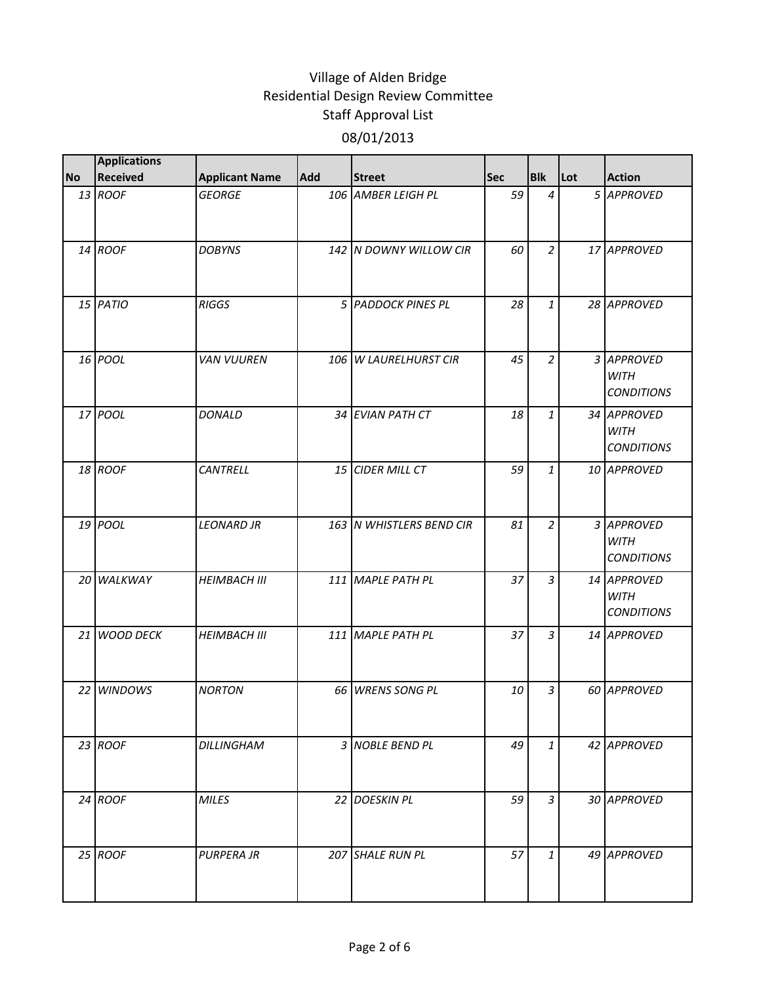|           | <b>Applications</b> |                       |     |                          |            |                |     |                                                 |
|-----------|---------------------|-----------------------|-----|--------------------------|------------|----------------|-----|-------------------------------------------------|
| <b>No</b> | <b>Received</b>     | <b>Applicant Name</b> | Add | <b>Street</b>            | <b>Sec</b> | <b>Blk</b>     | Lot | <b>Action</b>                                   |
|           | 13 ROOF             | <b>GEORGE</b>         |     | 106 AMBER LEIGH PL       | 59         | $\overline{4}$ |     | 5 APPROVED                                      |
|           | 14 ROOF             | <b>DOBYNS</b>         |     | 142 N DOWNY WILLOW CIR   | 60         | $\overline{a}$ |     | 17 APPROVED                                     |
|           | 15 PATIO            | <b>RIGGS</b>          |     | 5 PADDOCK PINES PL       | 28         | $\mathbf{1}$   |     | 28 APPROVED                                     |
|           | 16 POOL             | <b>VAN VUUREN</b>     |     | 106 W LAURELHURST CIR    | 45         | $\overline{2}$ |     | 3 APPROVED<br><b>WITH</b><br><b>CONDITIONS</b>  |
|           | 17 POOL             | <b>DONALD</b>         |     | 34 EVIAN PATH CT         | 18         | $\mathbf{1}$   |     | 34 APPROVED<br><b>WITH</b><br><b>CONDITIONS</b> |
|           | 18 ROOF             | <b>CANTRELL</b>       |     | 15 CIDER MILL CT         | 59         | $\mathbf{1}$   |     | 10 APPROVED                                     |
|           | 19 POOL             | <b>LEONARD JR</b>     |     | 163 N WHISTLERS BEND CIR | 81         | $\overline{a}$ |     | 3 APPROVED<br><b>WITH</b><br><b>CONDITIONS</b>  |
|           | 20 WALKWAY          | <b>HEIMBACH III</b>   |     | 111 MAPLE PATH PL        | 37         | $\overline{3}$ |     | 14 APPROVED<br><b>WITH</b><br><b>CONDITIONS</b> |
|           | 21 WOOD DECK        | <b>HEIMBACH III</b>   |     | 111 MAPLE PATH PL        | 37         | $\mathfrak{Z}$ |     | 14 APPROVED                                     |
|           | 22 <i>WINDOWS</i>   | <b>NORTON</b>         |     | 66 WRENS SONG PL         | 10         | $\overline{3}$ |     | 60 APPROVED                                     |
|           | 23 ROOF             | <b>DILLINGHAM</b>     |     | 3 NOBLE BEND PL          | 49         | $\mathbf{1}$   |     | 42 APPROVED                                     |
|           | 24 ROOF             | <b>MILES</b>          |     | 22 DOESKIN PL            | 59         | $\overline{3}$ |     | 30 APPROVED                                     |
|           | 25 ROOF             | <b>PURPERA JR</b>     |     | 207 SHALE RUN PL         | 57         | $\mathbf{1}$   |     | 49 APPROVED                                     |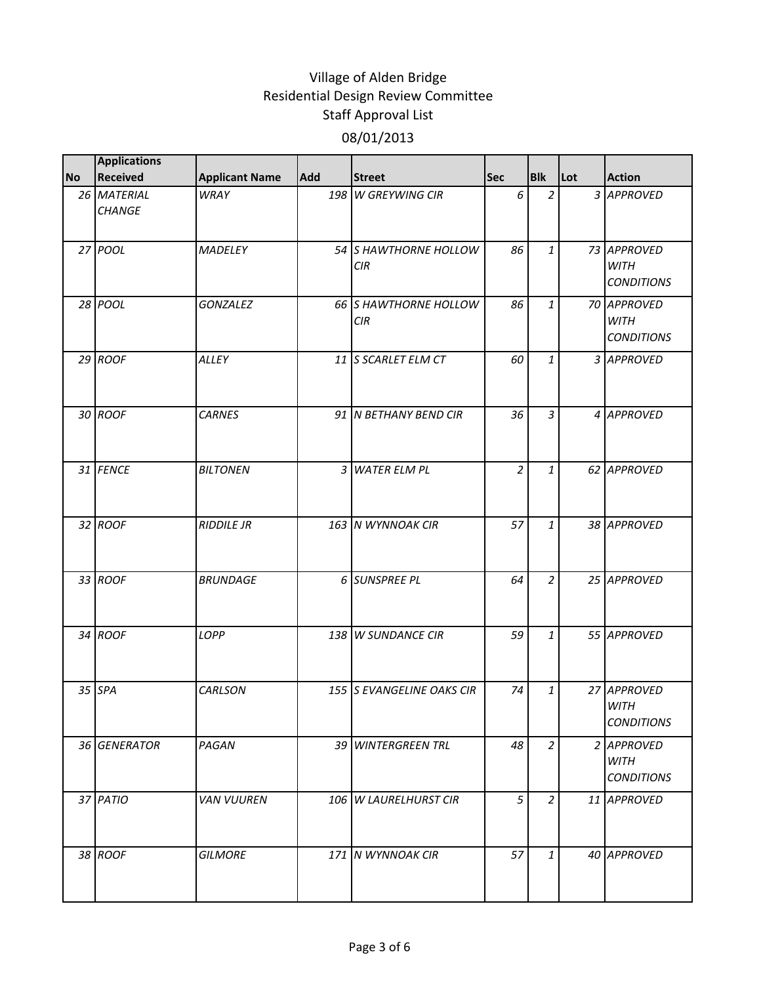|           | <b>Applications</b>          |                       |            |                              |                |                |     |                                                 |
|-----------|------------------------------|-----------------------|------------|------------------------------|----------------|----------------|-----|-------------------------------------------------|
| <b>No</b> | <b>Received</b>              | <b>Applicant Name</b> | <b>Add</b> | <b>Street</b>                | <b>Sec</b>     | <b>Blk</b>     | Lot | <b>Action</b>                                   |
|           | 26 MATERIAL<br><b>CHANGE</b> | <b>WRAY</b>           |            | 198 W GREYWING CIR           | 6              | $\overline{2}$ |     | 3 APPROVED                                      |
|           | 27 POOL                      | <b>MADELEY</b>        |            | 54 S HAWTHORNE HOLLOW<br>CIR | 86             | $\mathbf{1}$   |     | 73 APPROVED<br><b>WITH</b><br><b>CONDITIONS</b> |
|           | 28 POOL                      | <b>GONZALEZ</b>       |            | 66 S HAWTHORNE HOLLOW<br>CIR | 86             | $\mathbf{1}$   |     | 70 APPROVED<br><b>WITH</b><br><b>CONDITIONS</b> |
|           | $29$ ROOF                    | ALLEY                 |            | 11 S SCARLET ELM CT          | 60             | $\mathbf{1}$   |     | 3 APPROVED                                      |
|           | 30 ROOF                      | <b>CARNES</b>         |            | 91 N BETHANY BEND CIR        | 36             | $\overline{3}$ |     | 4 APPROVED                                      |
|           | 31 FENCE                     | <b>BILTONEN</b>       |            | 3 WATER ELM PL               | $\overline{a}$ | $\mathbf{1}$   |     | 62 APPROVED                                     |
|           | 32 ROOF                      | <b>RIDDILE JR</b>     |            | 163 N WYNNOAK CIR            | 57             | $\mathbf{1}$   |     | 38 APPROVED                                     |
|           | 33 ROOF                      | <b>BRUNDAGE</b>       |            | 6 SUNSPREE PL                | 64             | $\overline{2}$ |     | 25 APPROVED                                     |
|           | 34 ROOF                      | LOPP                  |            | 138 W SUNDANCE CIR           | 59             | $\mathbf{1}$   |     | 55 APPROVED                                     |
|           | 35 SPA                       | CARLSON               |            | 155 S EVANGELINE OAKS CIR    | 74             | $\mathbf{1}$   |     | 27 APPROVED<br><b>WITH</b><br><b>CONDITIONS</b> |
|           | 36 GENERATOR                 | PAGAN                 |            | 39 WINTERGREEN TRL           | 48             | $\overline{a}$ |     | 2 APPROVED<br><b>WITH</b><br><b>CONDITIONS</b>  |
|           | 37 PATIO                     | <b>VAN VUUREN</b>     |            | 106 W LAURELHURST CIR        | 5              | $\overline{a}$ |     | 11 APPROVED                                     |
|           | 38 ROOF                      | <b>GILMORE</b>        |            | 171 N WYNNOAK CIR            | 57             | $\mathbf{1}$   |     | 40 APPROVED                                     |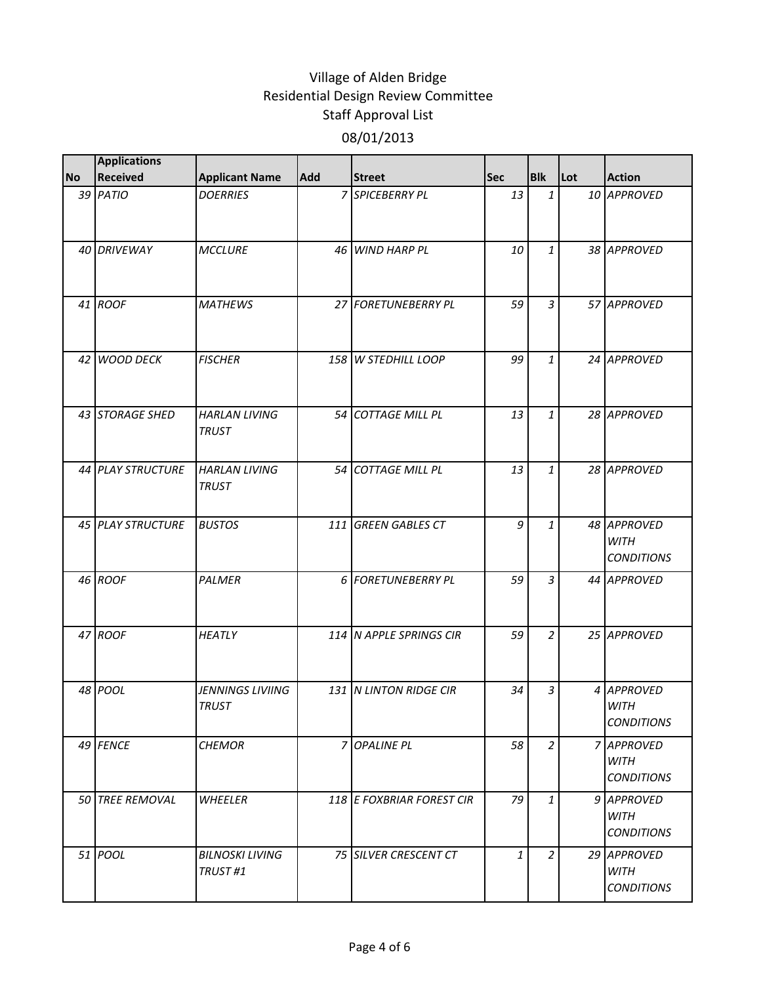|           | <b>Applications</b>      |                                         |                |                           |            |                |     |                                                 |
|-----------|--------------------------|-----------------------------------------|----------------|---------------------------|------------|----------------|-----|-------------------------------------------------|
| <b>No</b> | Received                 | <b>Applicant Name</b>                   | Add            | <b>Street</b>             | <b>Sec</b> | <b>Blk</b>     | Lot | <b>Action</b>                                   |
|           | 39 PATIO                 | <b>DOERRIES</b>                         |                | 7 SPICEBERRY PL           | 13         | $\mathbf{1}$   |     | 10 APPROVED                                     |
|           | 40 DRIVEWAY              | <b>MCCLURE</b>                          |                | 46 WIND HARP PL           | 10         | $\mathbf{1}$   |     | 38 APPROVED                                     |
|           | 41 ROOF                  | <b>MATHEWS</b>                          |                | 27 FORETUNEBERRY PL       | 59         | 3              |     | 57 APPROVED                                     |
|           | 42 WOOD DECK             | <b>FISCHER</b>                          |                | 158 W STEDHILL LOOP       | 99         | $\mathbf{1}$   |     | 24 APPROVED                                     |
|           | 43 STORAGE SHED          | <b>HARLAN LIVING</b><br><b>TRUST</b>    |                | 54 COTTAGE MILL PL        | 13         | $\mathbf{1}$   |     | 28 APPROVED                                     |
|           | <b>44 PLAY STRUCTURE</b> | <b>HARLAN LIVING</b><br><b>TRUST</b>    |                | 54 COTTAGE MILL PL        | 13         | $\mathbf{1}$   |     | 28 APPROVED                                     |
|           | 45 PLAY STRUCTURE        | <b>BUSTOS</b>                           | 111            | <b>GREEN GABLES CT</b>    | 9          | $\mathbf{1}$   |     | 48 APPROVED<br><b>WITH</b><br><b>CONDITIONS</b> |
|           | 46 ROOF                  | <b>PALMER</b>                           |                | 6 FORETUNEBERRY PL        | 59         | $\overline{3}$ |     | 44 APPROVED                                     |
|           | 47 ROOF                  | <b>HEATLY</b>                           |                | 114 N APPLE SPRINGS CIR   | 59         | $\overline{2}$ |     | 25 APPROVED                                     |
|           | 48 POOL                  | <b>JENNINGS LIVIING</b><br><b>TRUST</b> |                | 131 N LINTON RIDGE CIR    | 34         | $\mathfrak{Z}$ |     | 4 APPROVED<br><b>WITH</b><br><b>CONDITIONS</b>  |
|           | 49 FENCE                 | <b>CHEMOR</b>                           | $\overline{z}$ | <b>OPALINE PL</b>         | 58         | $\overline{a}$ |     | 7 APPROVED<br><b>WITH</b><br><b>CONDITIONS</b>  |
|           | 50 TREE REMOVAL          | WHEELER                                 |                | 118 E FOXBRIAR FOREST CIR | 79         | $\mathbf{1}$   |     | 9 APPROVED<br><b>WITH</b><br><b>CONDITIONS</b>  |
|           | 51 POOL                  | <b>BILNOSKI LIVING</b><br>TRUST#1       |                | 75 SILVER CRESCENT CT     | 1          | $\overline{2}$ |     | 29 APPROVED<br><b>WITH</b><br><b>CONDITIONS</b> |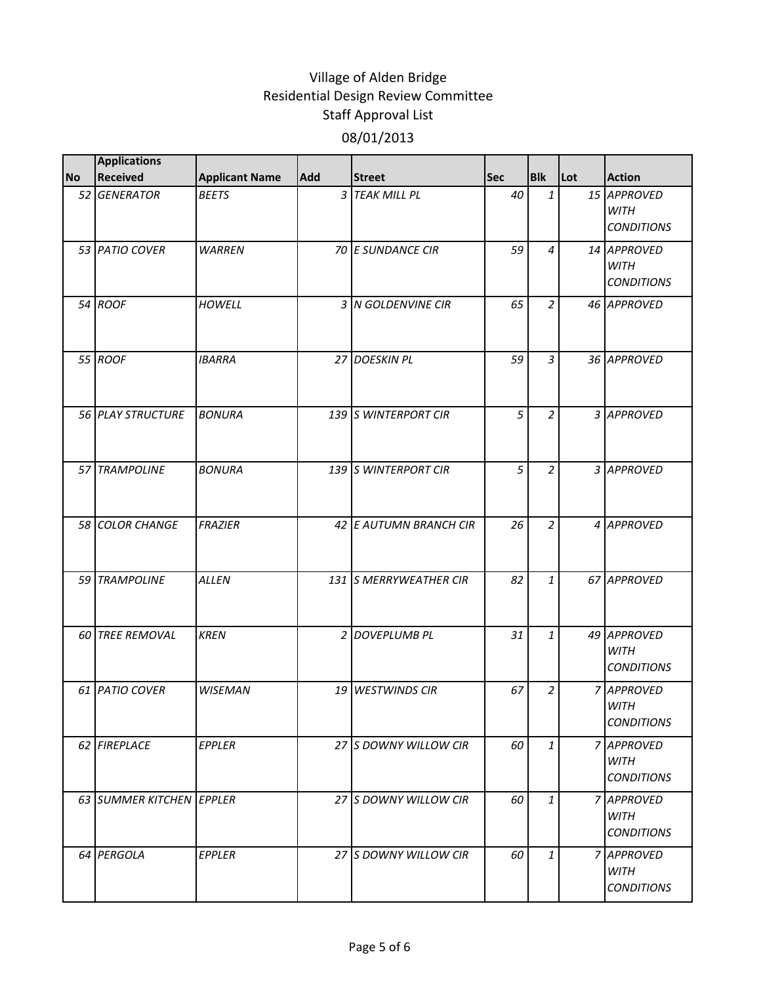|           | <b>Applications</b>      |                       |            |                        |            |                |     |                                                 |
|-----------|--------------------------|-----------------------|------------|------------------------|------------|----------------|-----|-------------------------------------------------|
| <b>No</b> | Received                 | <b>Applicant Name</b> | <b>Add</b> | <b>Street</b>          | <b>Sec</b> | <b>Blk</b>     | Lot | <b>Action</b>                                   |
|           | 52 GENERATOR             | <b>BEETS</b>          |            | 3 TEAK MILL PL         | 40         | $\mathbf{1}$   |     | 15 APPROVED<br><b>WITH</b><br><b>CONDITIONS</b> |
|           | 53 PATIO COVER           | <b>WARREN</b>         |            | 70 E SUNDANCE CIR      | 59         | $\overline{4}$ |     | 14 APPROVED<br><b>WITH</b><br><b>CONDITIONS</b> |
|           | 54 ROOF                  | <b>HOWELL</b>         |            | 3 N GOLDENVINE CIR     | 65         | $\overline{a}$ |     | 46 APPROVED                                     |
|           | 55 ROOF                  | <b>IBARRA</b>         |            | 27 DOESKIN PL          | 59         | $\mathfrak{Z}$ |     | 36 APPROVED                                     |
|           | 56 PLAY STRUCTURE        | <b>BONURA</b>         |            | 139 S WINTERPORT CIR   | 5          | $\overline{2}$ |     | 3 APPROVED                                      |
|           | 57 TRAMPOLINE            | <b>BONURA</b>         |            | 139 S WINTERPORT CIR   | 5          | $\overline{2}$ |     | 3 APPROVED                                      |
|           | 58 COLOR CHANGE          | <b>FRAZIER</b>        |            | 42 E AUTUMN BRANCH CIR | 26         | $\overline{a}$ |     | 4 APPROVED                                      |
|           | 59 TRAMPOLINE            | <b>ALLEN</b>          |            | 131 S MERRYWEATHER CIR | 82         | $\mathbf{1}$   |     | 67 APPROVED                                     |
|           | 60 TREE REMOVAL          | <b>KREN</b>           |            | 2 DOVEPLUMB PL         | 31         | $\mathbf{1}$   |     | 49 APPROVED<br><b>WITH</b><br><b>CONDITIONS</b> |
|           | 61 PATIO COVER           | <b>WISEMAN</b>        |            | 19 WESTWINDS CIR       | 67         | $\overline{a}$ |     | 7 APPROVED<br><b>WITH</b><br><b>CONDITIONS</b>  |
|           | 62 FIREPLACE             | EPPLER                |            | 27 S DOWNY WILLOW CIR  | 60         | $\mathbf{1}$   |     | 7 APPROVED<br><b>WITH</b><br><b>CONDITIONS</b>  |
|           | 63 SUMMER KITCHEN EPPLER |                       |            | 27 S DOWNY WILLOW CIR  | 60         | $\mathbf{1}$   |     | 7 APPROVED<br><b>WITH</b><br><b>CONDITIONS</b>  |
|           | 64 PERGOLA               | EPPLER                |            | 27 S DOWNY WILLOW CIR  | 60         | $\mathbf{1}$   |     | 7 APPROVED<br><b>WITH</b><br><b>CONDITIONS</b>  |